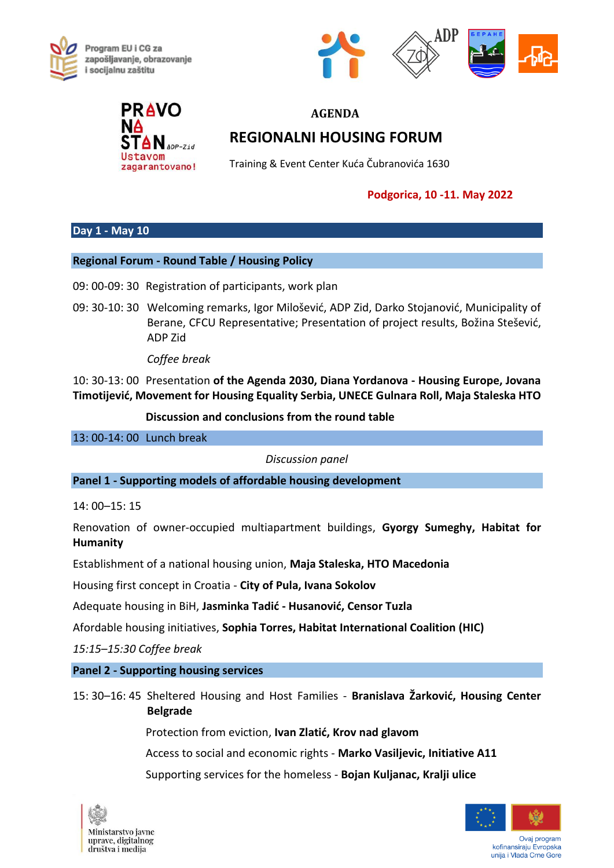





# **AGENDA REGIONALNI HOUSING FORUM**

Training & Event Center Kuća Čubranovića 1630

### **Podgorica, 10 -11. May 2022**

## **Day 1 - May 10**

#### **Regional Forum - Round Table / Housing Policy**

- 09: 00-09: 30 Registration of participants, work plan
- 09: 30-10: 30 Welcoming remarks, Igor Milošević, ADP Zid, Darko Stojanović, Municipality of Berane, CFCU Representative; Presentation of project results, Božina Stešević, ADP Zid

*Coffee break*

10: 30-13: 00 Presentation **of the Agenda 2030, Diana Yordanova - Housing Europe, Jovana Timotijević, Movement for Housing Equality Serbia, UNECE Gulnara Roll, Maja Staleska HTO** 

**Discussion and conclusions from the round table**

13: 00-14: 00 Lunch break

*Discussion panel*

**Panel 1 - Supporting models of affordable housing development**

14: 00–15: 15

Renovation of owner-occupied multiapartment buildings, **Gyorgy Sumeghy, Habitat for Humanity**

Establishment of a national housing union, **Maja Staleska, HTO Macedonia**

Housing first concept in Croatia - **City of Pula, Ivana Sokolov**

Adequate housing in BiH, **Jasminka Tadić - Husanović, Censor Tuzla**

Afordable housing initiatives, **Sophia Torres, Habitat International Coalition (HIC)**

*15:15–15:30 Coffee break*

#### **Panel 2 - Supporting housing services**

15: 30–16: 45 Sheltered Housing and Host Families - **Branislava Žarković, Housing Center Belgrade**

Protection from eviction, **Ivan Zlatić, Krov nad glavom**

Access to social and economic rights - **Marko Vasiljevic, Initiative A11**

Supporting services for the homeless - **Bojan Kuljanac, Kralji ulice**





Ovaj program kofinansiraju Evropska unija i Vlada Crne Gore